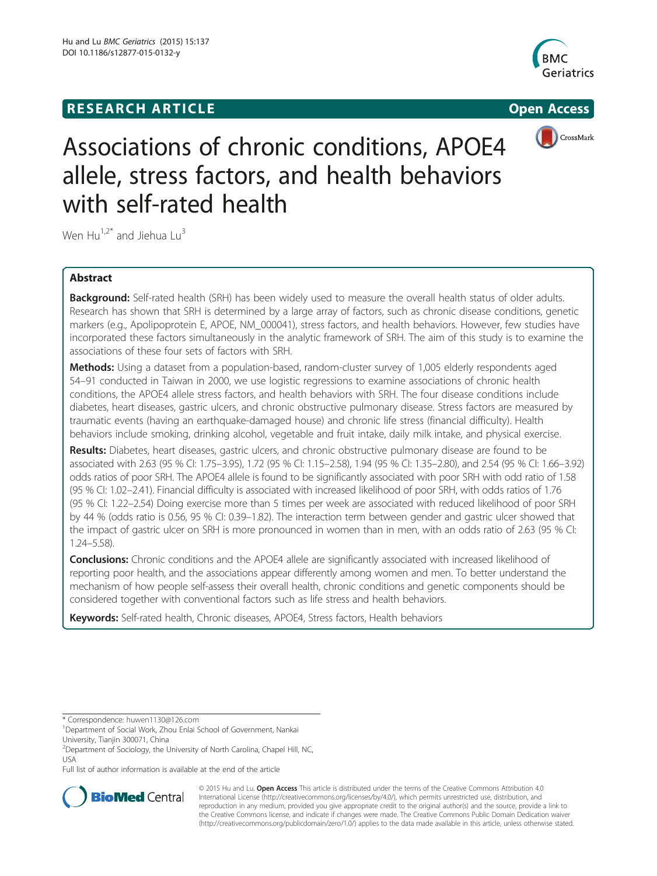# **RESEARCH ARTICLE Example 2008 CONSIDERING CONSIDERING CONSIDERING CONSIDERING CONSIDERING CONSIDERING CONSIDERING CONSIDERING CONSIDERING CONSIDERING CONSIDERING CONSIDERING CONSIDERING CONSIDERING CONSIDERING CONSIDE**





# Associations of chronic conditions, APOE4 allele, stress factors, and health behaviors with self-rated health

Wen  $Hu^{1,2^*}$  and Jiehua Lu<sup>3</sup>

# Abstract

Background: Self-rated health (SRH) has been widely used to measure the overall health status of older adults. Research has shown that SRH is determined by a large array of factors, such as chronic disease conditions, genetic markers (e.g., Apolipoprotein E, APOE, NM\_000041), stress factors, and health behaviors. However, few studies have incorporated these factors simultaneously in the analytic framework of SRH. The aim of this study is to examine the associations of these four sets of factors with SRH.

**Methods:** Using a dataset from a population-based, random-cluster survey of 1,005 elderly respondents aged 54–91 conducted in Taiwan in 2000, we use logistic regressions to examine associations of chronic health conditions, the APOE4 allele stress factors, and health behaviors with SRH. The four disease conditions include diabetes, heart diseases, gastric ulcers, and chronic obstructive pulmonary disease. Stress factors are measured by traumatic events (having an earthquake-damaged house) and chronic life stress (financial difficulty). Health behaviors include smoking, drinking alcohol, vegetable and fruit intake, daily milk intake, and physical exercise.

Results: Diabetes, heart diseases, gastric ulcers, and chronic obstructive pulmonary disease are found to be associated with 2.63 (95 % CI: 1.75–3.95), 1.72 (95 % CI: 1.15–2.58), 1.94 (95 % CI: 1.35–2.80), and 2.54 (95 % CI: 1.66–3.92) odds ratios of poor SRH. The APOE4 allele is found to be significantly associated with poor SRH with odd ratio of 1.58 (95 % CI: 1.02–2.41). Financial difficulty is associated with increased likelihood of poor SRH, with odds ratios of 1.76 (95 % CI: 1.22–2.54) Doing exercise more than 5 times per week are associated with reduced likelihood of poor SRH by 44 % (odds ratio is 0.56, 95 % CI: 0.39–1.82). The interaction term between gender and gastric ulcer showed that the impact of gastric ulcer on SRH is more pronounced in women than in men, with an odds ratio of 2.63 (95 % CI: 1.24–5.58).

Conclusions: Chronic conditions and the APOE4 allele are significantly associated with increased likelihood of reporting poor health, and the associations appear differently among women and men. To better understand the mechanism of how people self-assess their overall health, chronic conditions and genetic components should be considered together with conventional factors such as life stress and health behaviors.

Keywords: Self-rated health, Chronic diseases, APOE4, Stress factors, Health behaviors

Full list of author information is available at the end of the article



© 2015 Hu and Lu. Open Access This article is distributed under the terms of the Creative Commons Attribution 4.0 International License [\(http://creativecommons.org/licenses/by/4.0/](http://creativecommons.org/licenses/by/4.0/)), which permits unrestricted use, distribution, and reproduction in any medium, provided you give appropriate credit to the original author(s) and the source, provide a link to the Creative Commons license, and indicate if changes were made. The Creative Commons Public Domain Dedication waiver [\(http://creativecommons.org/publicdomain/zero/1.0/](http://creativecommons.org/publicdomain/zero/1.0/)) applies to the data made available in this article, unless otherwise stated.

<sup>\*</sup> Correspondence: [huwen1130@126.com](mailto:huwen1130@126.com) <sup>1</sup>

<sup>&</sup>lt;sup>1</sup>Department of Social Work, Zhou Enlai School of Government, Nankai University, Tianjin 300071, China

<sup>&</sup>lt;sup>2</sup>Department of Sociology, the University of North Carolina, Chapel Hill, NC, USA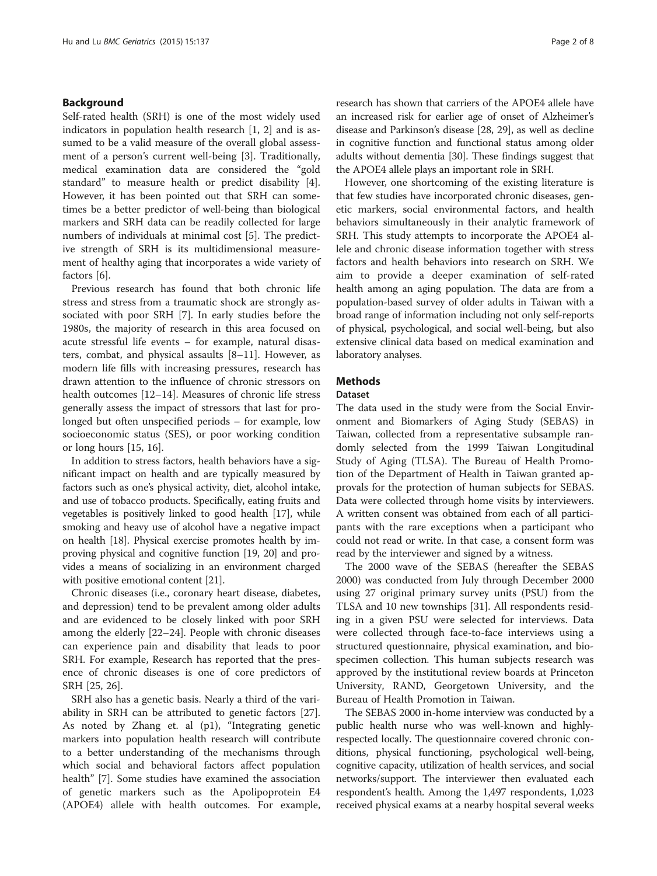## Background

Self-rated health (SRH) is one of the most widely used indicators in population health research [\[1](#page-6-0), [2\]](#page-6-0) and is assumed to be a valid measure of the overall global assessment of a person's current well-being [[3\]](#page-6-0). Traditionally, medical examination data are considered the "gold standard" to measure health or predict disability [\[4](#page-6-0)]. However, it has been pointed out that SRH can sometimes be a better predictor of well-being than biological markers and SRH data can be readily collected for large numbers of individuals at minimal cost [[5](#page-6-0)]. The predictive strength of SRH is its multidimensional measurement of healthy aging that incorporates a wide variety of factors [\[6](#page-6-0)].

Previous research has found that both chronic life stress and stress from a traumatic shock are strongly associated with poor SRH [[7\]](#page-7-0). In early studies before the 1980s, the majority of research in this area focused on acute stressful life events – for example, natural disasters, combat, and physical assaults [[8](#page-7-0)–[11\]](#page-7-0). However, as modern life fills with increasing pressures, research has drawn attention to the influence of chronic stressors on health outcomes [[12](#page-7-0)–[14](#page-7-0)]. Measures of chronic life stress generally assess the impact of stressors that last for prolonged but often unspecified periods – for example, low socioeconomic status (SES), or poor working condition or long hours [\[15](#page-7-0), [16](#page-7-0)].

In addition to stress factors, health behaviors have a significant impact on health and are typically measured by factors such as one's physical activity, diet, alcohol intake, and use of tobacco products. Specifically, eating fruits and vegetables is positively linked to good health [\[17\]](#page-7-0), while smoking and heavy use of alcohol have a negative impact on health [[18](#page-7-0)]. Physical exercise promotes health by improving physical and cognitive function [[19](#page-7-0), [20](#page-7-0)] and provides a means of socializing in an environment charged with positive emotional content [\[21\]](#page-7-0).

Chronic diseases (i.e., coronary heart disease, diabetes, and depression) tend to be prevalent among older adults and are evidenced to be closely linked with poor SRH among the elderly [[22](#page-7-0)–[24](#page-7-0)]. People with chronic diseases can experience pain and disability that leads to poor SRH. For example, Research has reported that the presence of chronic diseases is one of core predictors of SRH [\[25](#page-7-0), [26](#page-7-0)].

SRH also has a genetic basis. Nearly a third of the variability in SRH can be attributed to genetic factors [\[27](#page-7-0)]. As noted by Zhang et. al (p1), "Integrating genetic markers into population health research will contribute to a better understanding of the mechanisms through which social and behavioral factors affect population health" [\[7](#page-7-0)]. Some studies have examined the association of genetic markers such as the Apolipoprotein E4 (APOE4) allele with health outcomes. For example, research has shown that carriers of the APOE4 allele have an increased risk for earlier age of onset of Alzheimer's disease and Parkinson's disease [[28, 29](#page-7-0)], as well as decline in cognitive function and functional status among older adults without dementia [[30](#page-7-0)]. These findings suggest that the APOE4 allele plays an important role in SRH.

However, one shortcoming of the existing literature is that few studies have incorporated chronic diseases, genetic markers, social environmental factors, and health behaviors simultaneously in their analytic framework of SRH. This study attempts to incorporate the APOE4 allele and chronic disease information together with stress factors and health behaviors into research on SRH. We aim to provide a deeper examination of self-rated health among an aging population. The data are from a population-based survey of older adults in Taiwan with a broad range of information including not only self-reports of physical, psychological, and social well-being, but also extensive clinical data based on medical examination and laboratory analyses.

# **Methods**

#### Dataset

The data used in the study were from the Social Environment and Biomarkers of Aging Study (SEBAS) in Taiwan, collected from a representative subsample randomly selected from the 1999 Taiwan Longitudinal Study of Aging (TLSA). The Bureau of Health Promotion of the Department of Health in Taiwan granted approvals for the protection of human subjects for SEBAS. Data were collected through home visits by interviewers. A written consent was obtained from each of all participants with the rare exceptions when a participant who could not read or write. In that case, a consent form was read by the interviewer and signed by a witness.

The 2000 wave of the SEBAS (hereafter the SEBAS 2000) was conducted from July through December 2000 using 27 original primary survey units (PSU) from the TLSA and 10 new townships [[31](#page-7-0)]. All respondents residing in a given PSU were selected for interviews. Data were collected through face-to-face interviews using a structured questionnaire, physical examination, and biospecimen collection. This human subjects research was approved by the institutional review boards at Princeton University, RAND, Georgetown University, and the Bureau of Health Promotion in Taiwan.

The SEBAS 2000 in-home interview was conducted by a public health nurse who was well-known and highlyrespected locally. The questionnaire covered chronic conditions, physical functioning, psychological well-being, cognitive capacity, utilization of health services, and social networks/support. The interviewer then evaluated each respondent's health. Among the 1,497 respondents, 1,023 received physical exams at a nearby hospital several weeks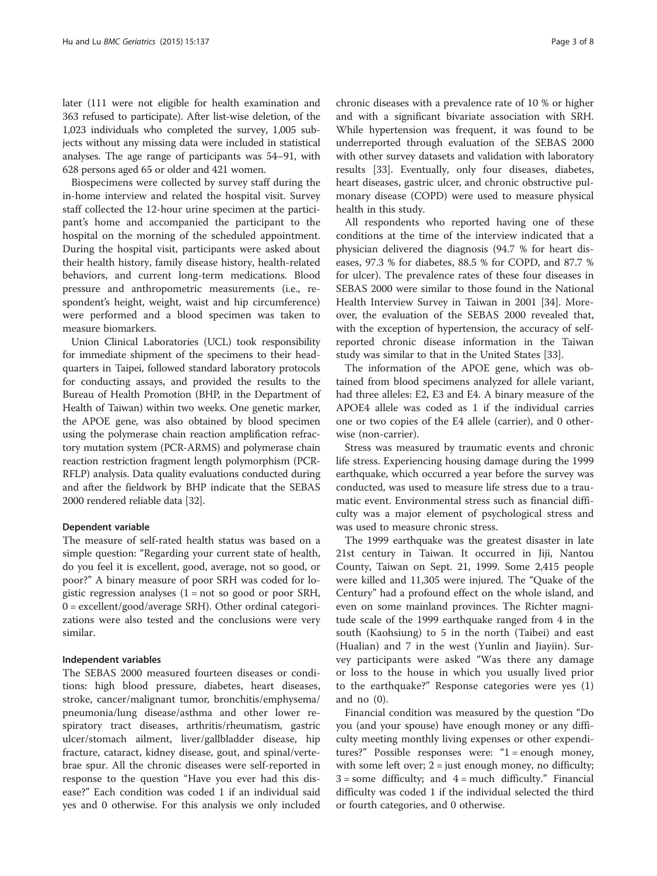later (111 were not eligible for health examination and 363 refused to participate). After list-wise deletion, of the 1,023 individuals who completed the survey, 1,005 subjects without any missing data were included in statistical analyses. The age range of participants was 54–91, with 628 persons aged 65 or older and 421 women.

Biospecimens were collected by survey staff during the in-home interview and related the hospital visit. Survey staff collected the 12-hour urine specimen at the participant's home and accompanied the participant to the hospital on the morning of the scheduled appointment. During the hospital visit, participants were asked about their health history, family disease history, health-related behaviors, and current long-term medications. Blood pressure and anthropometric measurements (i.e., respondent's height, weight, waist and hip circumference) were performed and a blood specimen was taken to measure biomarkers.

Union Clinical Laboratories (UCL) took responsibility for immediate shipment of the specimens to their headquarters in Taipei, followed standard laboratory protocols for conducting assays, and provided the results to the Bureau of Health Promotion (BHP, in the Department of Health of Taiwan) within two weeks. One genetic marker, the APOE gene, was also obtained by blood specimen using the polymerase chain reaction amplification refractory mutation system (PCR-ARMS) and polymerase chain reaction restriction fragment length polymorphism (PCR-RFLP) analysis. Data quality evaluations conducted during and after the fieldwork by BHP indicate that the SEBAS 2000 rendered reliable data [\[32\]](#page-7-0).

# Dependent variable

The measure of self-rated health status was based on a simple question: "Regarding your current state of health, do you feel it is excellent, good, average, not so good, or poor?" A binary measure of poor SRH was coded for logistic regression analyses  $(1 = not so good or poor SRH,$ 0 = excellent/good/average SRH). Other ordinal categorizations were also tested and the conclusions were very similar.

## Independent variables

The SEBAS 2000 measured fourteen diseases or conditions: high blood pressure, diabetes, heart diseases, stroke, cancer/malignant tumor, bronchitis/emphysema/ pneumonia/lung disease/asthma and other lower respiratory tract diseases, arthritis/rheumatism, gastric ulcer/stomach ailment, liver/gallbladder disease, hip fracture, cataract, kidney disease, gout, and spinal/vertebrae spur. All the chronic diseases were self-reported in response to the question "Have you ever had this disease?" Each condition was coded 1 if an individual said yes and 0 otherwise. For this analysis we only included

chronic diseases with a prevalence rate of 10 % or higher and with a significant bivariate association with SRH. While hypertension was frequent, it was found to be underreported through evaluation of the SEBAS 2000 with other survey datasets and validation with laboratory results [\[33](#page-7-0)]. Eventually, only four diseases, diabetes, heart diseases, gastric ulcer, and chronic obstructive pulmonary disease (COPD) were used to measure physical health in this study.

All respondents who reported having one of these conditions at the time of the interview indicated that a physician delivered the diagnosis (94.7 % for heart diseases, 97.3 % for diabetes, 88.5 % for COPD, and 87.7 % for ulcer). The prevalence rates of these four diseases in SEBAS 2000 were similar to those found in the National Health Interview Survey in Taiwan in 2001 [[34](#page-7-0)]. Moreover, the evaluation of the SEBAS 2000 revealed that, with the exception of hypertension, the accuracy of selfreported chronic disease information in the Taiwan study was similar to that in the United States [\[33\]](#page-7-0).

The information of the APOE gene, which was obtained from blood specimens analyzed for allele variant, had three alleles: E2, E3 and E4. A binary measure of the APOE4 allele was coded as 1 if the individual carries one or two copies of the E4 allele (carrier), and 0 otherwise (non-carrier).

Stress was measured by traumatic events and chronic life stress. Experiencing housing damage during the 1999 earthquake, which occurred a year before the survey was conducted, was used to measure life stress due to a traumatic event. Environmental stress such as financial difficulty was a major element of psychological stress and was used to measure chronic stress.

The 1999 earthquake was the greatest disaster in late 21st century in Taiwan. It occurred in Jiji, Nantou County, Taiwan on Sept. 21, 1999. Some 2,415 people were killed and 11,305 were injured. The "Quake of the Century" had a profound effect on the whole island, and even on some mainland provinces. The Richter magnitude scale of the 1999 earthquake ranged from 4 in the south (Kaohsiung) to 5 in the north (Taibei) and east (Hualian) and 7 in the west (Yunlin and Jiayiin). Survey participants were asked "Was there any damage or loss to the house in which you usually lived prior to the earthquake?" Response categories were yes (1) and no (0).

Financial condition was measured by the question "Do you (and your spouse) have enough money or any difficulty meeting monthly living expenses or other expenditures?" Possible responses were: "1 = enough money, with some left over;  $2 =$  just enough money, no difficulty;  $3 =$ some difficulty; and  $4 =$  much difficulty." Financial difficulty was coded 1 if the individual selected the third or fourth categories, and 0 otherwise.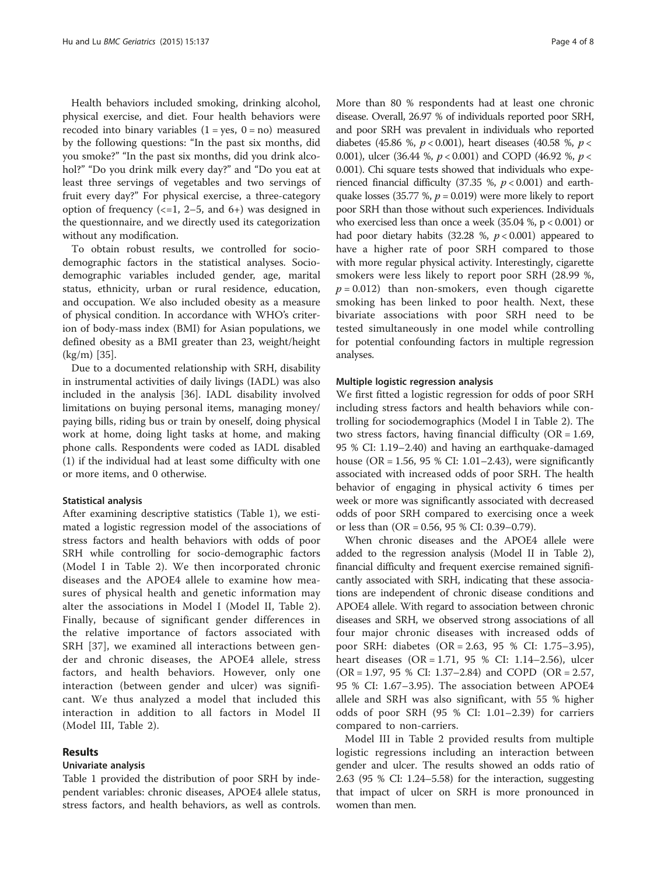Health behaviors included smoking, drinking alcohol, physical exercise, and diet. Four health behaviors were recoded into binary variables  $(1 = yes, 0 = no)$  measured by the following questions: "In the past six months, did you smoke?" "In the past six months, did you drink alcohol?" "Do you drink milk every day?" and "Do you eat at least three servings of vegetables and two servings of fruit every day?" For physical exercise, a three-category option of frequency  $\left(\left\langle -1, 2-5, \right\rangle$  and  $\left\langle 6+ \right\rangle$  was designed in the questionnaire, and we directly used its categorization without any modification.

To obtain robust results, we controlled for sociodemographic factors in the statistical analyses. Sociodemographic variables included gender, age, marital status, ethnicity, urban or rural residence, education, and occupation. We also included obesity as a measure of physical condition. In accordance with WHO's criterion of body-mass index (BMI) for Asian populations, we defined obesity as a BMI greater than 23, weight/height (kg/m) [[35](#page-7-0)].

Due to a documented relationship with SRH, disability in instrumental activities of daily livings (IADL) was also included in the analysis [\[36\]](#page-7-0). IADL disability involved limitations on buying personal items, managing money/ paying bills, riding bus or train by oneself, doing physical work at home, doing light tasks at home, and making phone calls. Respondents were coded as IADL disabled (1) if the individual had at least some difficulty with one or more items, and 0 otherwise.

#### Statistical analysis

After examining descriptive statistics (Table [1\)](#page-4-0), we estimated a logistic regression model of the associations of stress factors and health behaviors with odds of poor SRH while controlling for socio-demographic factors (Model I in Table [2](#page-5-0)). We then incorporated chronic diseases and the APOE4 allele to examine how measures of physical health and genetic information may alter the associations in Model I (Model II, Table [2](#page-5-0)). Finally, because of significant gender differences in the relative importance of factors associated with SRH [\[37\]](#page-7-0), we examined all interactions between gender and chronic diseases, the APOE4 allele, stress factors, and health behaviors. However, only one interaction (between gender and ulcer) was significant. We thus analyzed a model that included this interaction in addition to all factors in Model II (Model III, Table [2\)](#page-5-0).

# Results

# Univariate analysis

Table [1](#page-4-0) provided the distribution of poor SRH by independent variables: chronic diseases, APOE4 allele status, stress factors, and health behaviors, as well as controls.

More than 80 % respondents had at least one chronic disease. Overall, 26.97 % of individuals reported poor SRH, and poor SRH was prevalent in individuals who reported diabetes (45.86 %,  $p < 0.001$ ), heart diseases (40.58 %,  $p <$ 0.001), ulcer (36.44 %,  $p < 0.001$ ) and COPD (46.92 %,  $p <$ 0.001). Chi square tests showed that individuals who experienced financial difficulty (37.35 %,  $p < 0.001$ ) and earthquake losses (35.77 %,  $p = 0.019$ ) were more likely to report poor SRH than those without such experiences. Individuals who exercised less than once a week (35.04 %, p < 0.001) or had poor dietary habits (32.28 %,  $p < 0.001$ ) appeared to have a higher rate of poor SRH compared to those with more regular physical activity. Interestingly, cigarette smokers were less likely to report poor SRH (28.99 %,  $p = 0.012$ ) than non-smokers, even though cigarette smoking has been linked to poor health. Next, these bivariate associations with poor SRH need to be tested simultaneously in one model while controlling for potential confounding factors in multiple regression analyses.

#### Multiple logistic regression analysis

We first fitted a logistic regression for odds of poor SRH including stress factors and health behaviors while controlling for sociodemographics (Model I in Table [2\)](#page-5-0). The two stress factors, having financial difficulty ( $OR = 1.69$ , 95 % CI: 1.19–2.40) and having an earthquake-damaged house (OR = 1.56, 95 % CI: 1.01–2.43), were significantly associated with increased odds of poor SRH. The health behavior of engaging in physical activity 6 times per week or more was significantly associated with decreased odds of poor SRH compared to exercising once a week or less than (OR = 0.56, 95 % CI: 0.39–0.79).

When chronic diseases and the APOE4 allele were added to the regression analysis (Model II in Table [2](#page-5-0)), financial difficulty and frequent exercise remained significantly associated with SRH, indicating that these associations are independent of chronic disease conditions and APOE4 allele. With regard to association between chronic diseases and SRH, we observed strong associations of all four major chronic diseases with increased odds of poor SRH: diabetes (OR = 2.63, 95 % CI: 1.75–3.95), heart diseases (OR = 1.71, 95 % CI: 1.14–2.56), ulcer (OR = 1.97, 95 % CI: 1.37–2.84) and COPD (OR = 2.57, 95 % CI: 1.67–3.95). The association between APOE4 allele and SRH was also significant, with 55 % higher odds of poor SRH (95 % CI: 1.01–2.39) for carriers compared to non-carriers.

Model III in Table [2](#page-5-0) provided results from multiple logistic regressions including an interaction between gender and ulcer. The results showed an odds ratio of 2.63 (95 % CI: 1.24–5.58) for the interaction, suggesting that impact of ulcer on SRH is more pronounced in women than men.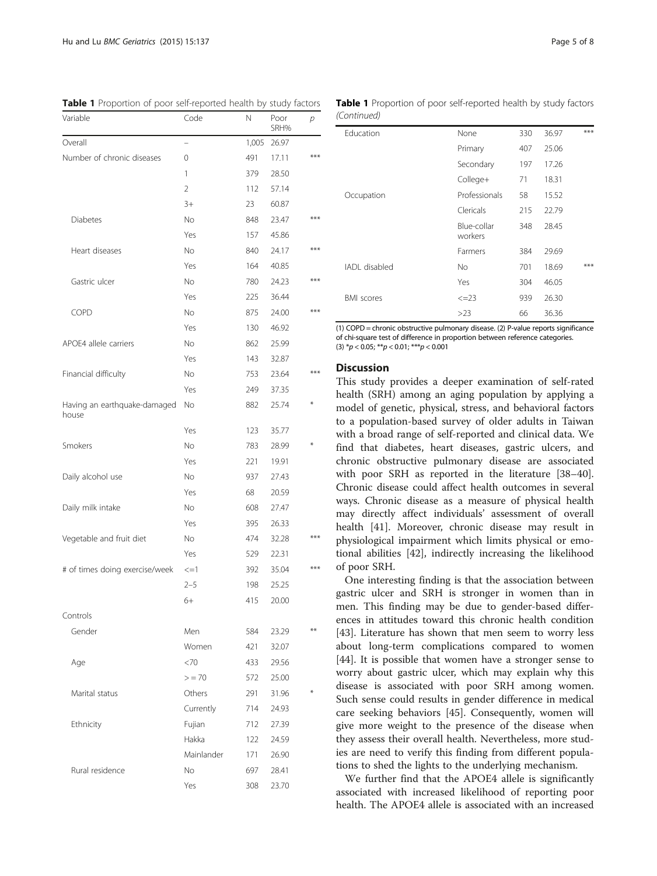| Variable                              | Code       | Ν     | Poor<br>SRH% | р    |
|---------------------------------------|------------|-------|--------------|------|
| Overall                               |            | 1,005 | 26.97        |      |
| Number of chronic diseases            | 0          | 491   | 17.11        | ***  |
|                                       | 1          | 379   | 28.50        |      |
|                                       | 2          | 112   | 57.14        |      |
|                                       | $3+$       | 23    | 60.87        |      |
| Diabetes                              | No         | 848   | 23.47        | ***  |
|                                       | Yes        | 157   | 45.86        |      |
| Heart diseases                        | No         | 840   | 24.17        | ***  |
|                                       | Yes        | 164   | 40.85        |      |
| Gastric ulcer                         | No         | 780   | 24.23        | ***  |
|                                       | Yes        | 225   | 36.44        |      |
| COPD                                  | No         | 875   | 24.00        | ***  |
|                                       | Yes        | 130   | 46.92        |      |
| APOE4 allele carriers                 | No         | 862   | 25.99        |      |
|                                       | Yes        | 143   | 32.87        |      |
| Financial difficulty                  | No         | 753   | 23.64        | ***  |
|                                       | Yes        | 249   | 37.35        |      |
| Having an earthquake-damaged<br>house | No         | 882   | 25.74        |      |
|                                       | Yes        | 123   | 35.77        |      |
| Smokers                               | No         | 783   | 28.99        |      |
|                                       | Yes        | 221   | 19.91        |      |
| Daily alcohol use                     | No         | 937   | 27.43        |      |
|                                       | Yes        | 68    | 20.59        |      |
| Daily milk intake                     | No         | 608   | 27.47        |      |
|                                       | Yes        | 395   | 26.33        |      |
| Vegetable and fruit diet              | No         | 474   | 32.28        | ***  |
|                                       | Yes        | 529   | 22.31        |      |
| # of times doing exercise/week        | $\leq$ =1  | 392   | 35.04        | ***  |
|                                       | $2 - 5$    | 198   | 25.25        |      |
|                                       | 6+         | 415   | 20.00        |      |
| Controls                              |            |       |              |      |
| Gender                                | Men        | 584   | 23.29        | $**$ |
|                                       | Women      | 421   | 32.07        |      |
| Age                                   | <70        | 433   | 29.56        |      |
|                                       | > 70       | 572   | 25.00        |      |
| Marital status                        | Others     | 291   | 31.96        | ⋇    |
|                                       | Currently  | 714   | 24.93        |      |
| Ethnicity                             | Fujian     | 712   | 27.39        |      |
|                                       | Hakka      | 122   | 24.59        |      |
|                                       | Mainlander | 171   | 26.90        |      |
| Rural residence                       | No         | 697   | 28.41        |      |
|                                       | Yes        | 308   | 23.70        |      |

<span id="page-4-0"></span>Table 1 Proportion of poor self-reported health by study factors Table 1 Proportion of poor self-reported health by study factors (Continued)

| Education         | None                   | 330 | 36.97 | ***   |
|-------------------|------------------------|-----|-------|-------|
|                   | Primary                | 407 | 25.06 |       |
|                   | Secondary              | 197 | 17.26 |       |
|                   | College+               | 71  | 18.31 |       |
| Occupation        | Professionals          | 58  | 15.52 |       |
|                   | Clericals              | 215 | 22.79 |       |
|                   | Blue-collar<br>workers | 348 | 28.45 |       |
|                   | Farmers                | 384 | 29.69 |       |
| IADI disabled     | No.                    | 701 | 18.69 | $***$ |
|                   | Yes                    | 304 | 46.05 |       |
| <b>BMI</b> scores | $\leq$ = 23            | 939 | 26.30 |       |
|                   | >23                    | 66  | 36.36 |       |

(1) COPD = chronic obstructive pulmonary disease. (2) P-value reports significance of chi-square test of difference in proportion between reference categories. (3)  $^*p$  < 0.05;  $^{**}p$  < 0.01;  $^{***}p$  < 0.001

#### **Discussion**

This study provides a deeper examination of self-rated health (SRH) among an aging population by applying a model of genetic, physical, stress, and behavioral factors to a population-based survey of older adults in Taiwan with a broad range of self-reported and clinical data. We find that diabetes, heart diseases, gastric ulcers, and chronic obstructive pulmonary disease are associated with poor SRH as reported in the literature [[38](#page-7-0)–[40](#page-7-0)]. Chronic disease could affect health outcomes in several ways. Chronic disease as a measure of physical health may directly affect individuals' assessment of overall health [[41\]](#page-7-0). Moreover, chronic disease may result in physiological impairment which limits physical or emotional abilities [[42](#page-7-0)], indirectly increasing the likelihood of poor SRH.

One interesting finding is that the association between gastric ulcer and SRH is stronger in women than in men. This finding may be due to gender-based differences in attitudes toward this chronic health condition [[43\]](#page-7-0). Literature has shown that men seem to worry less about long-term complications compared to women [[44\]](#page-7-0). It is possible that women have a stronger sense to worry about gastric ulcer, which may explain why this disease is associated with poor SRH among women. Such sense could results in gender difference in medical care seeking behaviors [\[45](#page-7-0)]. Consequently, women will give more weight to the presence of the disease when they assess their overall health. Nevertheless, more studies are need to verify this finding from different populations to shed the lights to the underlying mechanism.

We further find that the APOE4 allele is significantly associated with increased likelihood of reporting poor health. The APOE4 allele is associated with an increased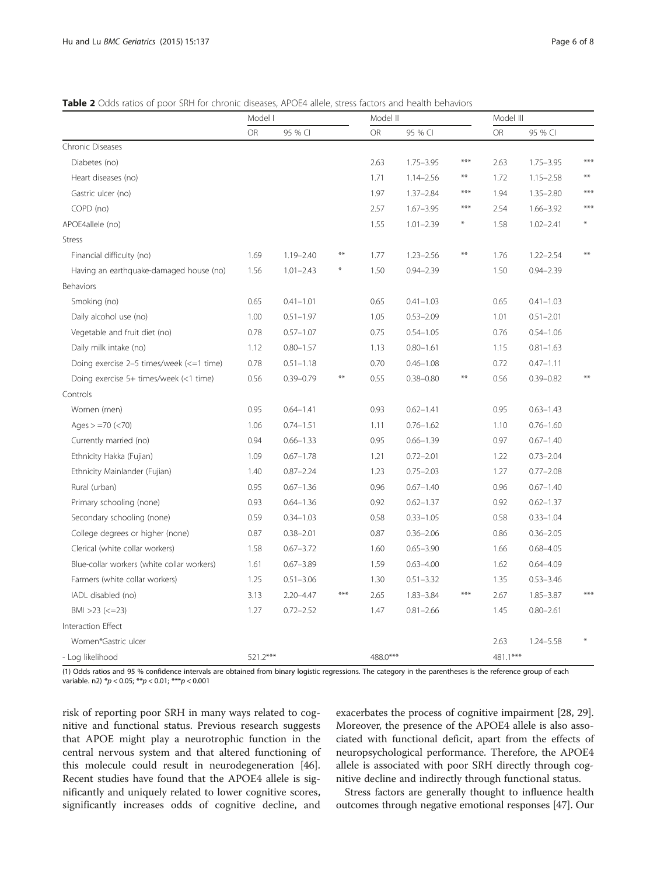## <span id="page-5-0"></span>Table 2 Odds ratios of poor SRH for chronic diseases, APOE4 allele, stress factors and health behaviors

|                                            |           | Model I       |        |           | Model II      |       | Model III |               |       |
|--------------------------------------------|-----------|---------------|--------|-----------|---------------|-------|-----------|---------------|-------|
|                                            | <b>OR</b> | 95 % CI       |        | <b>OR</b> | 95 % CI       |       | OR        | 95 % CI       |       |
| Chronic Diseases                           |           |               |        |           |               |       |           |               |       |
| Diabetes (no)                              |           |               |        | 2.63      | $1.75 - 3.95$ | ***   | 2.63      | $1.75 - 3.95$ | $***$ |
| Heart diseases (no)                        |           |               |        | 1.71      | $1.14 - 2.56$ | $**$  | 1.72      | $1.15 - 2.58$ |       |
| Gastric ulcer (no)                         |           |               |        | 1.97      | $1.37 - 2.84$ | $***$ | 1.94      | $1.35 - 2.80$ | $***$ |
| COPD (no)                                  |           |               |        | 2.57      | $1.67 - 3.95$ | $***$ | 2.54      | $1.66 - 3.92$ | $***$ |
| APOE4allele (no)                           |           |               |        | 1.55      | $1.01 - 2.39$ | ⋇     | 1.58      | $1.02 - 2.41$ |       |
| <b>Stress</b>                              |           |               |        |           |               |       |           |               |       |
| Financial difficulty (no)                  | 1.69      | $1.19 - 2.40$ | $***$  | 1.77      | $1.23 - 2.56$ | $***$ | 1.76      | $1.22 - 2.54$ | $**$  |
| Having an earthquake-damaged house (no)    | 1.56      | $1.01 - 2.43$ | $\ast$ | 1.50      | $0.94 - 2.39$ |       | 1.50      | $0.94 - 2.39$ |       |
| Behaviors                                  |           |               |        |           |               |       |           |               |       |
| Smoking (no)                               | 0.65      | $0.41 - 1.01$ |        | 0.65      | $0.41 - 1.03$ |       | 0.65      | $0.41 - 1.03$ |       |
| Daily alcohol use (no)                     | 1.00      | $0.51 - 1.97$ |        | 1.05      | $0.53 - 2.09$ |       | 1.01      | $0.51 - 2.01$ |       |
| Vegetable and fruit diet (no)              | 0.78      | $0.57 - 1.07$ |        | 0.75      | $0.54 - 1.05$ |       | 0.76      | $0.54 - 1.06$ |       |
| Daily milk intake (no)                     | 1.12      | $0.80 - 1.57$ |        | 1.13      | $0.80 - 1.61$ |       | 1.15      | $0.81 - 1.63$ |       |
| Doing exercise 2-5 times/week (<=1 time)   | 0.78      | $0.51 - 1.18$ |        | 0.70      | $0.46 - 1.08$ |       | 0.72      | $0.47 - 1.11$ |       |
| Doing exercise 5+ times/week (<1 time)     | 0.56      | $0.39 - 0.79$ | $**$   | 0.55      | $0.38 - 0.80$ | $**$  | 0.56      | $0.39 - 0.82$ |       |
| Controls                                   |           |               |        |           |               |       |           |               |       |
| Women (men)                                | 0.95      | $0.64 - 1.41$ |        | 0.93      | $0.62 - 1.41$ |       | 0.95      | $0.63 - 1.43$ |       |
| Ages $> = 70$ (<70)                        | 1.06      | $0.74 - 1.51$ |        | 1.11      | $0.76 - 1.62$ |       | 1.10      | $0.76 - 1.60$ |       |
| Currently married (no)                     | 0.94      | $0.66 - 1.33$ |        | 0.95      | $0.66 - 1.39$ |       | 0.97      | $0.67 - 1.40$ |       |
| Ethnicity Hakka (Fujian)                   | 1.09      | $0.67 - 1.78$ |        | 1.21      | $0.72 - 2.01$ |       | 1.22      | $0.73 - 2.04$ |       |
| Ethnicity Mainlander (Fujian)              | 1.40      | $0.87 - 2.24$ |        | 1.23      | $0.75 - 2.03$ |       | 1.27      | $0.77 - 2.08$ |       |
| Rural (urban)                              | 0.95      | $0.67 - 1.36$ |        | 0.96      | $0.67 - 1.40$ |       | 0.96      | $0.67 - 1.40$ |       |
| Primary schooling (none)                   | 0.93      | $0.64 - 1.36$ |        | 0.92      | $0.62 - 1.37$ |       | 0.92      | $0.62 - 1.37$ |       |
| Secondary schooling (none)                 | 0.59      | $0.34 - 1.03$ |        | 0.58      | $0.33 - 1.05$ |       | 0.58      | $0.33 - 1.04$ |       |
| College degrees or higher (none)           | 0.87      | $0.38 - 2.01$ |        | 0.87      | $0.36 - 2.06$ |       | 0.86      | $0.36 - 2.05$ |       |
| Clerical (white collar workers)            | 1.58      | $0.67 - 3.72$ |        | 1.60      | $0.65 - 3.90$ |       | 1.66      | $0.68 - 4.05$ |       |
| Blue-collar workers (white collar workers) | 1.61      | $0.67 - 3.89$ |        | 1.59      | $0.63 - 4.00$ |       | 1.62      | $0.64 - 4.09$ |       |
| Farmers (white collar workers)             | 1.25      | $0.51 - 3.06$ |        | 1.30      | $0.51 - 3.32$ |       | 1.35      | $0.53 - 3.46$ |       |
| IADL disabled (no)                         | 3.13      | $2.20 - 4.47$ | $***$  | 2.65      | $1.83 - 3.84$ | ***   | 2.67      | $1.85 - 3.87$ | $***$ |
| $BMI > 23 (<=23)$                          | 1.27      | $0.72 - 2.52$ |        | 1.47      | $0.81 - 2.66$ |       | 1.45      | $0.80 - 2.61$ |       |
| Interaction Effect                         |           |               |        |           |               |       |           |               |       |
| Women*Gastric ulcer                        |           |               |        |           |               |       | 2.63      | $1.24 - 5.58$ |       |
| - Log likelihood                           | 521.2***  |               |        | 488.0***  |               |       | 481.1***  |               |       |

(1) Odds ratios and 95 % confidence intervals are obtained from binary logistic regressions. The category in the parentheses is the reference group of each variable. n2)  $^{*}p$  < 0.05;  $^{**}p$  < 0.01;  $^{***}p$  < 0.001

risk of reporting poor SRH in many ways related to cognitive and functional status. Previous research suggests that APOE might play a neurotrophic function in the central nervous system and that altered functioning of this molecule could result in neurodegeneration [\[46](#page-7-0)]. Recent studies have found that the APOE4 allele is significantly and uniquely related to lower cognitive scores, significantly increases odds of cognitive decline, and

exacerbates the process of cognitive impairment [\[28](#page-7-0), [29](#page-7-0)]. Moreover, the presence of the APOE4 allele is also associated with functional deficit, apart from the effects of neuropsychological performance. Therefore, the APOE4 allele is associated with poor SRH directly through cognitive decline and indirectly through functional status.

Stress factors are generally thought to influence health outcomes through negative emotional responses [\[47](#page-7-0)]. Our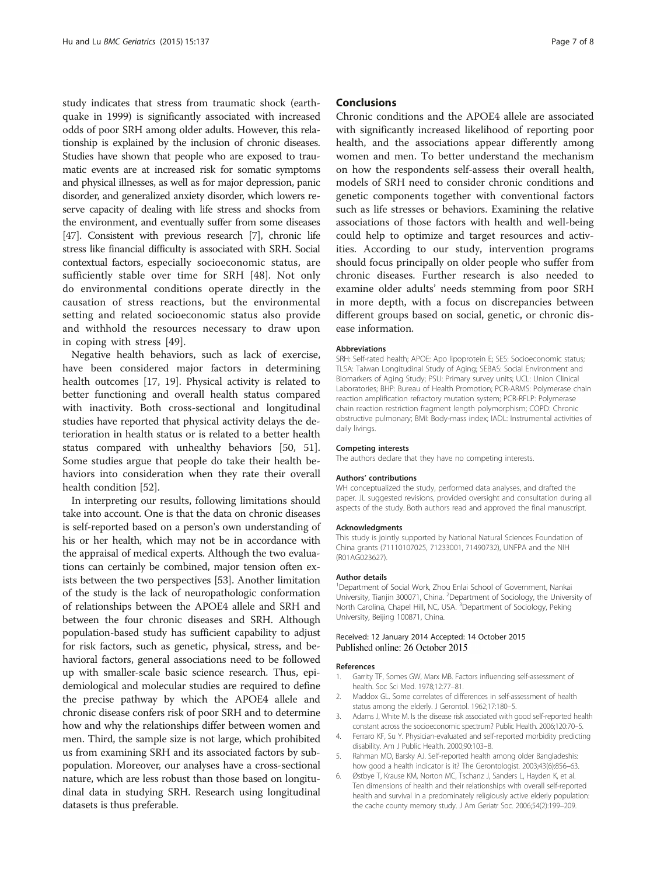<span id="page-6-0"></span>study indicates that stress from traumatic shock (earthquake in 1999) is significantly associated with increased odds of poor SRH among older adults. However, this relationship is explained by the inclusion of chronic diseases. Studies have shown that people who are exposed to traumatic events are at increased risk for somatic symptoms and physical illnesses, as well as for major depression, panic disorder, and generalized anxiety disorder, which lowers reserve capacity of dealing with life stress and shocks from the environment, and eventually suffer from some diseases [[47](#page-7-0)]. Consistent with previous research [[7](#page-7-0)], chronic life stress like financial difficulty is associated with SRH. Social contextual factors, especially socioeconomic status, are sufficiently stable over time for SRH [\[48](#page-7-0)]. Not only do environmental conditions operate directly in the causation of stress reactions, but the environmental setting and related socioeconomic status also provide and withhold the resources necessary to draw upon in coping with stress [\[49](#page-7-0)].

Negative health behaviors, such as lack of exercise, have been considered major factors in determining health outcomes [\[17, 19](#page-7-0)]. Physical activity is related to better functioning and overall health status compared with inactivity. Both cross-sectional and longitudinal studies have reported that physical activity delays the deterioration in health status or is related to a better health status compared with unhealthy behaviors [\[50](#page-7-0), [51](#page-7-0)]. Some studies argue that people do take their health behaviors into consideration when they rate their overall health condition [[52\]](#page-7-0).

In interpreting our results, following limitations should take into account. One is that the data on chronic diseases is self-reported based on a person's own understanding of his or her health, which may not be in accordance with the appraisal of medical experts. Although the two evaluations can certainly be combined, major tension often exists between the two perspectives [\[53\]](#page-7-0). Another limitation of the study is the lack of neuropathologic conformation of relationships between the APOE4 allele and SRH and between the four chronic diseases and SRH. Although population-based study has sufficient capability to adjust for risk factors, such as genetic, physical, stress, and behavioral factors, general associations need to be followed up with smaller-scale basic science research. Thus, epidemiological and molecular studies are required to define the precise pathway by which the APOE4 allele and chronic disease confers risk of poor SRH and to determine how and why the relationships differ between women and men. Third, the sample size is not large, which prohibited us from examining SRH and its associated factors by subpopulation. Moreover, our analyses have a cross-sectional nature, which are less robust than those based on longitudinal data in studying SRH. Research using longitudinal datasets is thus preferable.

#### Conclusions

Chronic conditions and the APOE4 allele are associated with significantly increased likelihood of reporting poor health, and the associations appear differently among women and men. To better understand the mechanism on how the respondents self-assess their overall health, models of SRH need to consider chronic conditions and genetic components together with conventional factors such as life stresses or behaviors. Examining the relative associations of those factors with health and well-being could help to optimize and target resources and activities. According to our study, intervention programs should focus principally on older people who suffer from chronic diseases. Further research is also needed to examine older adults' needs stemming from poor SRH in more depth, with a focus on discrepancies between different groups based on social, genetic, or chronic disease information.

#### **Abbreviations**

SRH: Self-rated health; APOE: Apo lipoprotein E; SES: Socioeconomic status; TLSA: Taiwan Longitudinal Study of Aging; SEBAS: Social Environment and Biomarkers of Aging Study; PSU: Primary survey units; UCL: Union Clinical Laboratories; BHP: Bureau of Health Promotion; PCR-ARMS: Polymerase chain reaction amplification refractory mutation system; PCR-RFLP: Polymerase chain reaction restriction fragment length polymorphism; COPD: Chronic obstructive pulmonary; BMI: Body-mass index; IADL: Instrumental activities of daily livings.

#### Competing interests

The authors declare that they have no competing interests.

#### Authors' contributions

WH conceptualized the study, performed data analyses, and drafted the paper. JL suggested revisions, provided oversight and consultation during all aspects of the study. Both authors read and approved the final manuscript.

#### Acknowledgments

This study is jointly supported by National Natural Sciences Foundation of China grants (71110107025, 71233001, 71490732), UNFPA and the NIH (R01AG023627).

#### Author details

<sup>1</sup>Department of Social Work, Zhou Enlai School of Government, Nankai University, Tianjin 300071, China. <sup>2</sup>Department of Sociology, the University of North Carolina, Chapel Hill, NC, USA. <sup>3</sup>Department of Sociology, Peking University, Beijing 100871, China.

#### Received: 12 January 2014 Accepted: 14 October 2015 Published online: 26 October 2015

#### References

- 1. Garrity TF, Somes GW, Marx MB. Factors influencing self-assessment of health. Soc Sci Med. 1978;12:77–81.
- 2. Maddox GL. Some correlates of differences in self-assessment of health status among the elderly. J Gerontol. 1962;17:180–5.
- 3. Adams J, White M. Is the disease risk associated with good self-reported health constant across the socioeconomic spectrum? Public Health. 2006;120:70–5.
- 4. Ferraro KF, Su Y. Physician-evaluated and self-reported morbidity predicting disability. Am J Public Health. 2000;90:103–8.
- 5. Rahman MO, Barsky AJ. Self-reported health among older Bangladeshis: how good a health indicator is it? The Gerontologist. 2003;43(6):856–63.
- 6. Østbye T, Krause KM, Norton MC, Tschanz J, Sanders L, Hayden K, et al. Ten dimensions of health and their relationships with overall self-reported health and survival in a predominately religiously active elderly population: the cache county memory study. J Am Geriatr Soc. 2006;54(2):199–209.